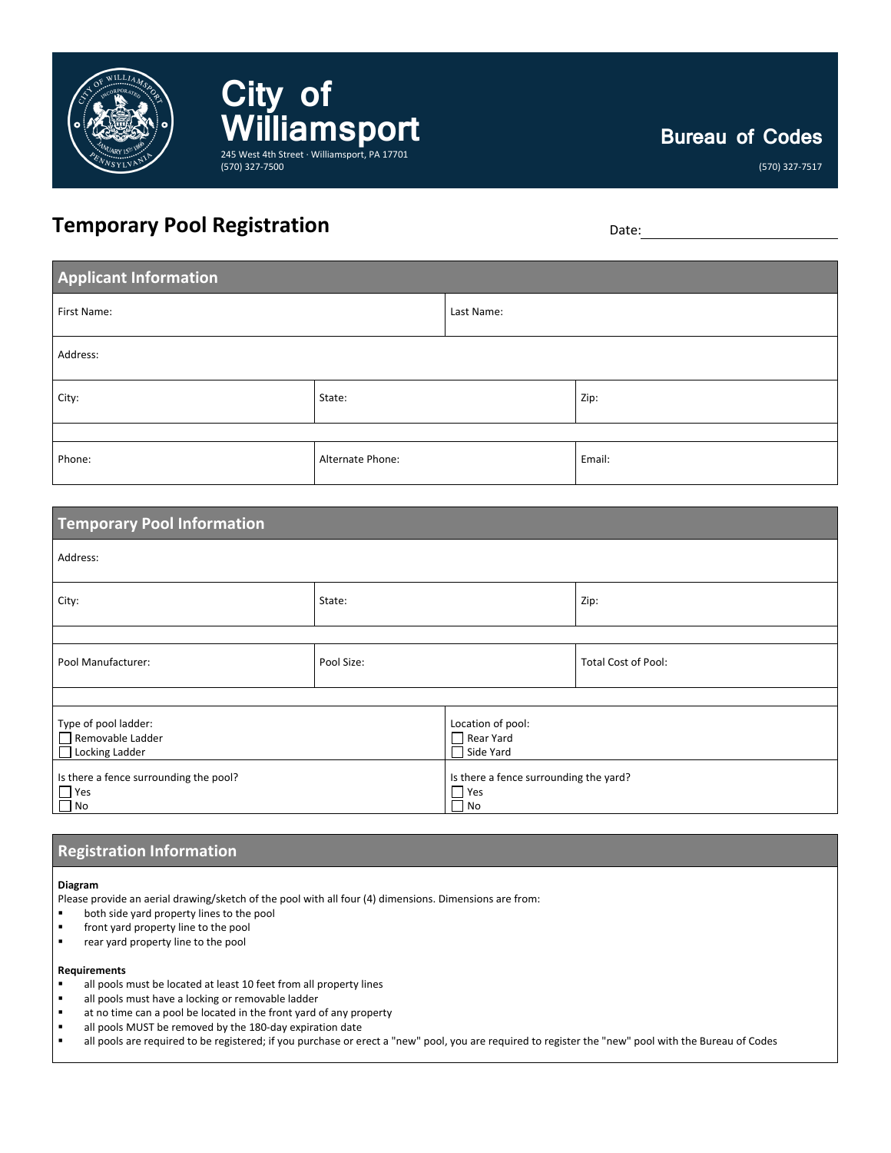

# **City of Williamsport** 245 West 4th Street · Williamsport, PA 17701 (570) 327-7500

# **Bureau of Codes**

(570) 327-7517

# **Temporary Pool Registration** Date: Date: Date:

| <b>Applicant Information</b> |                  |            |        |  |  |  |
|------------------------------|------------------|------------|--------|--|--|--|
| First Name:                  |                  | Last Name: |        |  |  |  |
| Address:                     |                  |            |        |  |  |  |
| City:                        | State:           |            | Zip:   |  |  |  |
|                              |                  |            |        |  |  |  |
| Phone:                       | Alternate Phone: |            | Email: |  |  |  |

| <b>Temporary Pool Information</b>                                 |            |                                                            |                            |  |  |  |
|-------------------------------------------------------------------|------------|------------------------------------------------------------|----------------------------|--|--|--|
| Address:                                                          |            |                                                            |                            |  |  |  |
| City:                                                             | State:     |                                                            | Zip:                       |  |  |  |
|                                                                   |            |                                                            |                            |  |  |  |
| Pool Manufacturer:                                                | Pool Size: |                                                            | <b>Total Cost of Pool:</b> |  |  |  |
|                                                                   |            |                                                            |                            |  |  |  |
| Type of pool ladder:<br>Removable Ladder<br>Locking Ladder        |            | Location of pool:<br>$\Box$ Rear Yard<br>Side Yard         |                            |  |  |  |
| Is there a fence surrounding the pool?<br>$\Box$ Yes<br>$\Box$ No |            | Is there a fence surrounding the yard?<br>$\Box$ Yes<br>No |                            |  |  |  |

## **Registration Information**

**Diagram**

Please provide an aerial drawing/sketch of the pool with all four (4) dimensions. Dimensions are from:

- both side yard property lines to the pool
- front yard property line to the pool
- **F** rear yard property line to the pool

#### **Requirements**

- all pools must be located at least 10 feet from all property lines
- all pools must have a locking or removable ladder
- at no time can a pool be located in the front yard of any property
- all pools MUST be removed by the 180-day expiration date
- " all pools are required to be registered; if you purchase or erect a "new" pool, you are required to register the "new" pool with the Bureau of Codes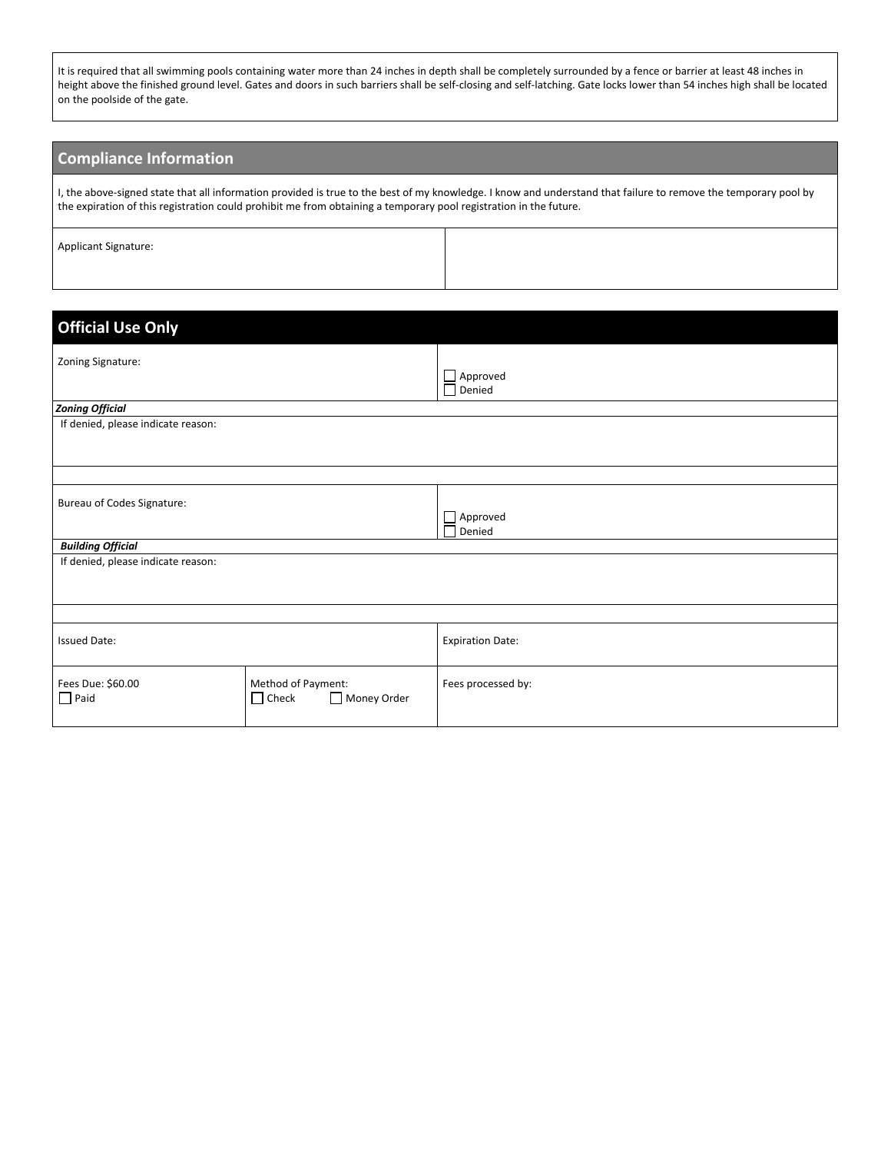It is required that all swimming pools containing water more than 24 inches in depth shall be completely surrounded by a fence or barrier at least 48 inches in height above the finished ground level. Gates and doors in such barriers shall be self-closing and self-latching. Gate locks lower than 54 inches high shall be located on the poolside of the gate.

## **Compliance Information**

I, the above-signed state that all information provided is true to the best of my knowledge. I know and understand that failure to remove the temporary pool by the expiration of this registration could prohibit me from obtaining a temporary pool registration in the future.

Applicant Signature:

| <b>Official Use Only</b>           |                                                   |                                  |  |  |
|------------------------------------|---------------------------------------------------|----------------------------------|--|--|
| Zoning Signature:                  |                                                   | $\Box$ Approved<br>$\Box$ Denied |  |  |
| <b>Zoning Official</b>             |                                                   |                                  |  |  |
| If denied, please indicate reason: |                                                   |                                  |  |  |
|                                    |                                                   |                                  |  |  |
| Bureau of Codes Signature:         |                                                   | Approved<br>Denied               |  |  |
| <b>Building Official</b>           |                                                   |                                  |  |  |
| If denied, please indicate reason: |                                                   |                                  |  |  |
|                                    |                                                   |                                  |  |  |
| <b>Issued Date:</b>                |                                                   | <b>Expiration Date:</b>          |  |  |
| Fees Due: \$60.00<br>$\Box$ Paid   | Method of Payment:<br>Money Order<br>$\Box$ Check | Fees processed by:               |  |  |